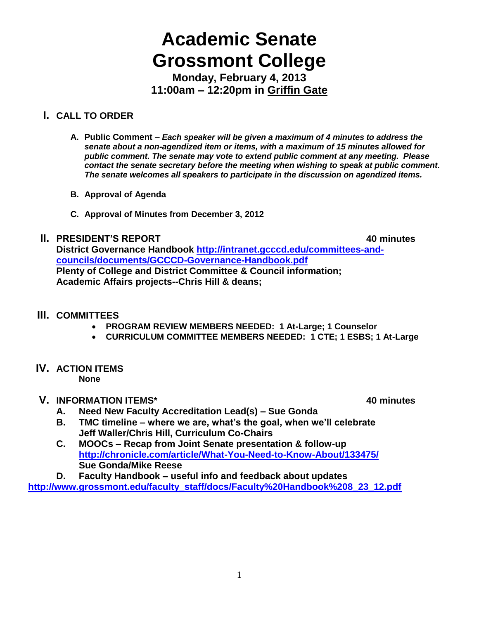# **Academic Senate Grossmont College**

**Monday, February 4, 2013 11:00am – 12:20pm in Griffin Gate**

## **I. CALL TO ORDER**

- **A. Public Comment –** *Each speaker will be given a maximum of 4 minutes to address the senate about a non-agendized item or items, with a maximum of 15 minutes allowed for public comment. The senate may vote to extend public comment at any meeting. Please contact the senate secretary before the meeting when wishing to speak at public comment. The senate welcomes all speakers to participate in the discussion on agendized items.*
- **B. Approval of Agenda**
- **C. Approval of Minutes from December 3, 2012**

#### **II. PRESIDENT'S REPORT 40 minutes**

**District Governance Handbook [http://intranet.gcccd.edu/committees-and](http://intranet.gcccd.edu/committees-and-councils/documents/GCCCD-Governance-Handbook.pdf)[councils/documents/GCCCD-Governance-Handbook.pdf](http://intranet.gcccd.edu/committees-and-councils/documents/GCCCD-Governance-Handbook.pdf) Plenty of College and District Committee & Council information; Academic Affairs projects--Chris Hill & deans;** 

## **III. COMMITTEES**

- **PROGRAM REVIEW MEMBERS NEEDED: 1 At-Large; 1 Counselor**
- **CURRICULUM COMMITTEE MEMBERS NEEDED: 1 CTE; 1 ESBS; 1 At-Large**

## **IV. ACTION ITEMS**

**None**

## **V. INFORMATION ITEMS\* 40 minutes**

- **A. Need New Faculty Accreditation Lead(s) – Sue Gonda**
- **B. TMC timeline – where we are, what's the goal, when we'll celebrate Jeff Waller/Chris Hill, Curriculum Co-Chairs**
- **C. MOOCs – Recap from Joint Senate presentation & follow-up <http://chronicle.com/article/What-You-Need-to-Know-About/133475/> Sue Gonda/Mike Reese**

**D. Faculty Handbook – useful info and feedback about updates**

**[http://www.grossmont.edu/faculty\\_staff/docs/Faculty%20Handbook%208\\_23\\_12.pdf](http://www.grossmont.edu/faculty_staff/docs/Faculty%20Handbook%208_23_12.pdf)**